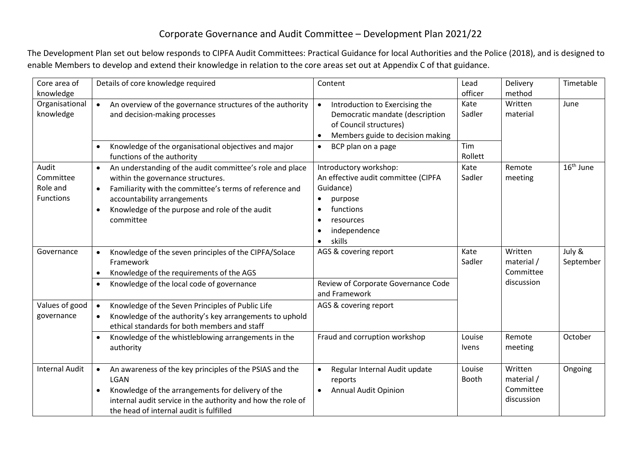## Corporate Governance and Audit Committee – Development Plan 2021/22

The Development Plan set out below responds to CIPFA Audit Committees: Practical Guidance for local Authorities and the Police (2018), and is designed to enable Members to develop and extend their knowledge in relation to the core areas set out at Appendix C of that guidance.

| Core area of                                       | Details of core knowledge required                                                                                                                                                                                                                                               | Content                                                                                                                                   | Lead            | Delivery                           | Timetable             |
|----------------------------------------------------|----------------------------------------------------------------------------------------------------------------------------------------------------------------------------------------------------------------------------------------------------------------------------------|-------------------------------------------------------------------------------------------------------------------------------------------|-----------------|------------------------------------|-----------------------|
| knowledge                                          |                                                                                                                                                                                                                                                                                  |                                                                                                                                           | officer         | method                             |                       |
| Organisational<br>knowledge                        | An overview of the governance structures of the authority<br>$\bullet$<br>and decision-making processes                                                                                                                                                                          | Introduction to Exercising the<br>Democratic mandate (description<br>of Council structures)<br>Members guide to decision making           | Kate<br>Sadler  | Written<br>material                | June                  |
|                                                    | Knowledge of the organisational objectives and major<br>functions of the authority                                                                                                                                                                                               | BCP plan on a page<br>$\bullet$                                                                                                           | Tim<br>Rollett  |                                    |                       |
| Audit<br>Committee<br>Role and<br><b>Functions</b> | An understanding of the audit committee's role and place<br>within the governance structures.<br>Familiarity with the committee's terms of reference and<br>$\bullet$<br>accountability arrangements<br>Knowledge of the purpose and role of the audit<br>$\bullet$<br>committee | Introductory workshop:<br>An effective audit committee (CIPFA<br>Guidance)<br>purpose<br>functions<br>resources<br>independence<br>skills | Kate<br>Sadler  | Remote<br>meeting                  | 16 <sup>th</sup> June |
| Governance                                         | Knowledge of the seven principles of the CIPFA/Solace<br>$\bullet$                                                                                                                                                                                                               | AGS & covering report                                                                                                                     | Kate<br>Sadler  | Written<br>material /<br>Committee | July &<br>September   |
|                                                    | Framework<br>Knowledge of the requirements of the AGS                                                                                                                                                                                                                            |                                                                                                                                           |                 |                                    |                       |
|                                                    | Knowledge of the local code of governance<br>$\bullet$                                                                                                                                                                                                                           | Review of Corporate Governance Code<br>and Framework                                                                                      |                 | discussion                         |                       |
| Values of good<br>governance                       | Knowledge of the Seven Principles of Public Life<br>$\bullet$<br>Knowledge of the authority's key arrangements to uphold<br>ethical standards for both members and staff                                                                                                         | AGS & covering report                                                                                                                     |                 |                                    |                       |
|                                                    | Knowledge of the whistleblowing arrangements in the<br>$\bullet$<br>authority                                                                                                                                                                                                    | Fraud and corruption workshop                                                                                                             | Louise<br>Ivens | Remote<br>meeting                  | October               |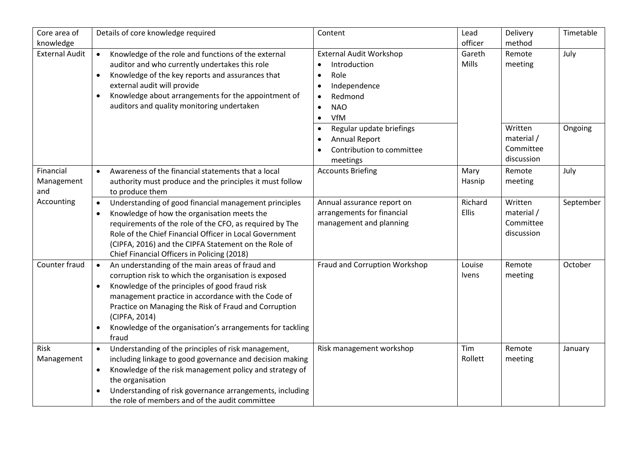| Core area of                   | Details of core knowledge required                                                                                                                                                                                                                                                                                                                                                        | Content                                                                                                                                                                                                                                                                                                      | Lead             | Delivery                                                | Timetable       |
|--------------------------------|-------------------------------------------------------------------------------------------------------------------------------------------------------------------------------------------------------------------------------------------------------------------------------------------------------------------------------------------------------------------------------------------|--------------------------------------------------------------------------------------------------------------------------------------------------------------------------------------------------------------------------------------------------------------------------------------------------------------|------------------|---------------------------------------------------------|-----------------|
| knowledge                      |                                                                                                                                                                                                                                                                                                                                                                                           |                                                                                                                                                                                                                                                                                                              | officer          | method                                                  |                 |
| <b>External Audit</b>          | Knowledge of the role and functions of the external<br>$\bullet$<br>auditor and who currently undertakes this role<br>Knowledge of the key reports and assurances that<br>$\bullet$<br>external audit will provide<br>Knowledge about arrangements for the appointment of<br>$\bullet$<br>auditors and quality monitoring undertaken                                                      | <b>External Audit Workshop</b><br>Introduction<br>$\bullet$<br>Role<br>$\bullet$<br>Independence<br>$\bullet$<br>Redmond<br>$\bullet$<br><b>NAO</b><br>$\bullet$<br>VfM<br>$\bullet$<br>Regular update briefings<br>$\bullet$<br><b>Annual Report</b><br>$\bullet$<br>Contribution to committee<br>$\bullet$ | Gareth<br>Mills  | Remote<br>meeting<br>Written<br>material /<br>Committee | July<br>Ongoing |
|                                |                                                                                                                                                                                                                                                                                                                                                                                           | meetings                                                                                                                                                                                                                                                                                                     |                  | discussion                                              |                 |
| Financial<br>Management<br>and | Awareness of the financial statements that a local<br>$\bullet$<br>authority must produce and the principles it must follow<br>to produce them                                                                                                                                                                                                                                            | <b>Accounts Briefing</b>                                                                                                                                                                                                                                                                                     | Mary<br>Hasnip   | Remote<br>meeting                                       | July            |
| Accounting                     | Understanding of good financial management principles<br>Knowledge of how the organisation meets the<br>$\bullet$<br>requirements of the role of the CFO, as required by The<br>Role of the Chief Financial Officer in Local Government<br>(CIPFA, 2016) and the CIPFA Statement on the Role of<br>Chief Financial Officers in Policing (2018)                                            | Annual assurance report on<br>arrangements for financial<br>management and planning                                                                                                                                                                                                                          | Richard<br>Ellis | Written<br>material /<br>Committee<br>discussion        | September       |
| Counter fraud                  | An understanding of the main areas of fraud and<br>corruption risk to which the organisation is exposed<br>Knowledge of the principles of good fraud risk<br>$\bullet$<br>management practice in accordance with the Code of<br>Practice on Managing the Risk of Fraud and Corruption<br>(CIPFA, 2014)<br>Knowledge of the organisation's arrangements for tackling<br>$\bullet$<br>fraud | Fraud and Corruption Workshop                                                                                                                                                                                                                                                                                | Louise<br>Ivens  | Remote<br>meeting                                       | October         |
| Risk<br>Management             | Understanding of the principles of risk management,<br>$\bullet$<br>including linkage to good governance and decision making<br>Knowledge of the risk management policy and strategy of<br>$\bullet$<br>the organisation<br>Understanding of risk governance arrangements, including<br>the role of members and of the audit committee                                                    | Risk management workshop                                                                                                                                                                                                                                                                                     | Tim<br>Rollett   | Remote<br>meeting                                       | January         |